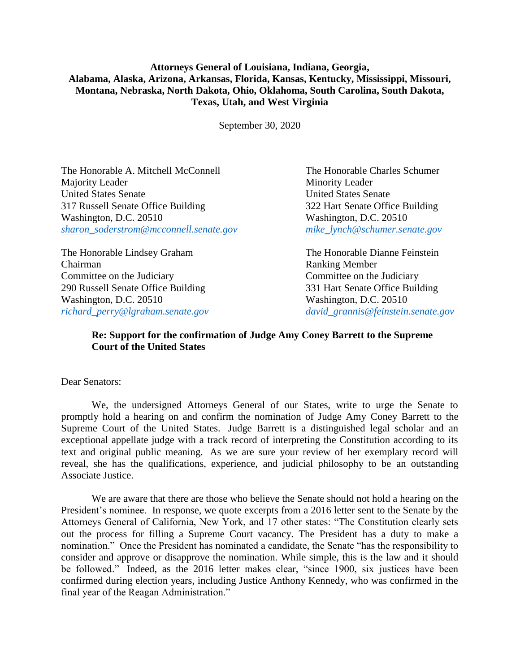## **Attorneys General of Louisiana, Indiana, Georgia, Alabama, Alaska, Arizona, Arkansas, Florida, Kansas, Kentucky, Mississippi, Missouri, Montana, Nebraska, North Dakota, Ohio, Oklahoma, South Carolina, South Dakota, Texas, Utah, and West Virginia**

September 30, 2020

The Honorable A. Mitchell McConnell The Honorable Charles Schumer Majority Leader Minority Leader United States Senate United States Senate 317 Russell Senate Office Building 322 Hart Senate Office Building Washington, D.C. 20510 Washington, D.C. 20510 *[sharon\\_soderstrom@mcconnell.senate.gov](mailto:sharon_soderstrom@mcconnell.senate.gov) [mike\\_lynch@schumer.senate.gov](mailto:mike_lynch@schumer.senate.gov)*

The Honorable Lindsey Graham The Honorable Dianne Feinstein Chairman Ranking Member Committee on the Judiciary Committee on the Judiciary 290 Russell Senate Office Building 331 Hart Senate Office Building Washington, D.C. 20510 Washington, D.C. 20510 *[richard\\_perry@lgraham.senate.gov](mailto:richard_perry@lgraham.senate.gov) [david\\_grannis@feinstein.senate.gov](mailto:david_grannis@feinstein.senate.gov)*

## **Re: Support for the confirmation of Judge Amy Coney Barrett to the Supreme Court of the United States**

Dear Senators:

We, the undersigned Attorneys General of our States, write to urge the Senate to promptly hold a hearing on and confirm the nomination of Judge Amy Coney Barrett to the Supreme Court of the United States. Judge Barrett is a distinguished legal scholar and an exceptional appellate judge with a track record of interpreting the Constitution according to its text and original public meaning. As we are sure your review of her exemplary record will reveal, she has the qualifications, experience, and judicial philosophy to be an outstanding Associate Justice.

We are aware that there are those who believe the Senate should not hold a hearing on the President's nominee. In response, we quote excerpts from a 2016 letter sent to the Senate by the Attorneys General of California, New York, and 17 other states: "The Constitution clearly sets out the process for filling a Supreme Court vacancy. The President has a duty to make a nomination." Once the President has nominated a candidate, the Senate "has the responsibility to consider and approve or disapprove the nomination. While simple, this is the law and it should be followed." Indeed, as the 2016 letter makes clear, "since 1900, six justices have been confirmed during election years, including Justice Anthony Kennedy, who was confirmed in the final year of the Reagan Administration."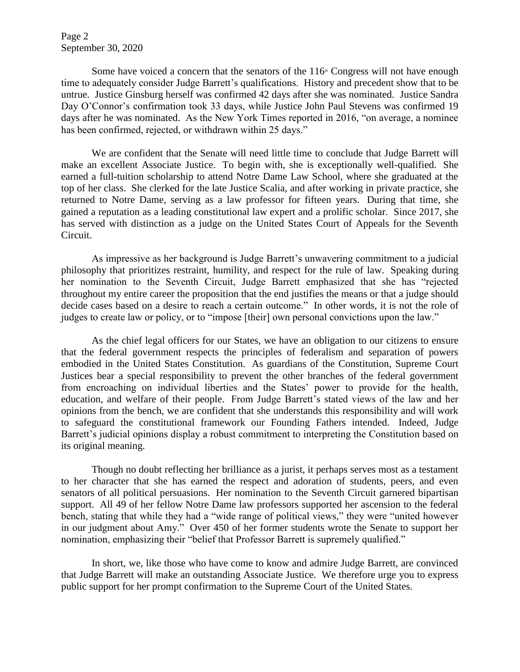Page 2 September 30, 2020

Some have voiced a concern that the senators of the  $116<sup>th</sup>$  Congress will not have enough time to adequately consider Judge Barrett's qualifications. History and precedent show that to be untrue. Justice Ginsburg herself was confirmed 42 days after she was nominated. Justice Sandra Day O'Connor's confirmation took 33 days, while Justice John Paul Stevens was confirmed 19 days after he was nominated. As the New York Times reported in 2016, "on average, a nominee has been confirmed, rejected, or withdrawn within 25 days."

We are confident that the Senate will need little time to conclude that Judge Barrett will make an excellent Associate Justice. To begin with, she is exceptionally well-qualified. She earned a full-tuition scholarship to attend Notre Dame Law School, where she graduated at the top of her class. She clerked for the late Justice Scalia, and after working in private practice, she returned to Notre Dame, serving as a law professor for fifteen years. During that time, she gained a reputation as a leading constitutional law expert and a prolific scholar. Since 2017, she has served with distinction as a judge on the United States Court of Appeals for the Seventh Circuit.

As impressive as her background is Judge Barrett's unwavering commitment to a judicial philosophy that prioritizes restraint, humility, and respect for the rule of law. Speaking during her nomination to the Seventh Circuit, Judge Barrett emphasized that she has "rejected throughout my entire career the proposition that the end justifies the means or that a judge should decide cases based on a desire to reach a certain outcome." In other words, it is not the role of judges to create law or policy, or to "impose [their] own personal convictions upon the law."

As the chief legal officers for our States, we have an obligation to our citizens to ensure that the federal government respects the principles of federalism and separation of powers embodied in the United States Constitution. As guardians of the Constitution, Supreme Court Justices bear a special responsibility to prevent the other branches of the federal government from encroaching on individual liberties and the States' power to provide for the health, education, and welfare of their people. From Judge Barrett's stated views of the law and her opinions from the bench, we are confident that she understands this responsibility and will work to safeguard the constitutional framework our Founding Fathers intended. Indeed, Judge Barrett's judicial opinions display a robust commitment to interpreting the Constitution based on its original meaning.

Though no doubt reflecting her brilliance as a jurist, it perhaps serves most as a testament to her character that she has earned the respect and adoration of students, peers, and even senators of all political persuasions. Her nomination to the Seventh Circuit garnered bipartisan support. All 49 of her fellow Notre Dame law professors supported her ascension to the federal bench, stating that while they had a "wide range of political views," they were "united however in our judgment about Amy." Over 450 of her former students wrote the Senate to support her nomination, emphasizing their "belief that Professor Barrett is supremely qualified."

In short, we, like those who have come to know and admire Judge Barrett, are convinced that Judge Barrett will make an outstanding Associate Justice. We therefore urge you to express public support for her prompt confirmation to the Supreme Court of the United States.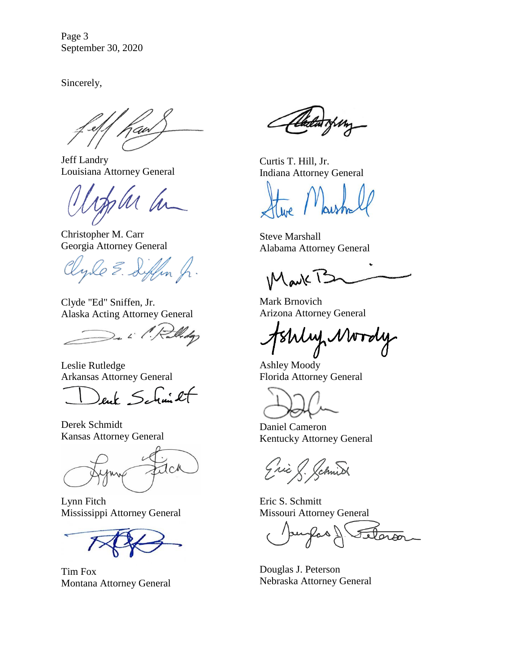Page 3 September 30, 2020

Sincerely,

an

Jeff Landry Louisiana Attorney General

Christopher M. Carr Georgia Attorney General

yle E. Siffin J.

Clyde "Ed" Sniffen, Jr. Alaska Acting Attorney General

De L' Pulledgy

Leslie Rutledge Arkansas Attorney General

Schmitt

Derek Schmidt Kansas Attorney General

aca

Lynn Fitch Mississippi Attorney General

Tim Fox Montana Attorney General

Curtis T. Hill, Jr. Indiana Attorney General

Steve Marshall Alabama Attorney General

 $M$ avk $T<sup>2</sup>$ 

Mark Brnovich Arizona Attorney General

Shly Mordy

Ashley Moody Florida Attorney General

Daniel Cameron Kentucky Attorney General

ic J. Jchnist

Eric S. Schmitt Missouri Attorney General

Ras 1 elaron

Douglas J. Peterson Nebraska Attorney General